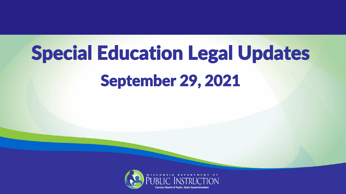# Special Education Legal Updates September 29, 2021

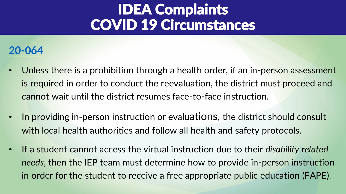#### **[20-064](https://dpi.wi.gov/sped/idea-complaint-decision-20-064)**

- Unless there is a prohibition through a health order, if an in-person assessment is required in order to conduct the reevaluation, the district must proceed and cannot wait until the district resumes face-to-face instruction.
- In providing in-person instruction or evaluations, the district should consult with local health authorities and follow all health and safety protocols.
- If a student cannot access the virtual instruction due to their *disability related needs*, then the IEP team must determine how to provide in-person instruction in order for the student to receive a free appropriate public education (FAPE).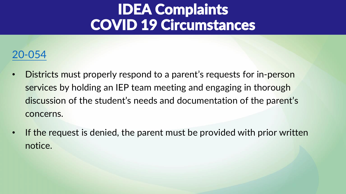#### [20-054](https://dpi.wi.gov/sped/idea-complaint-decision-20-054)

- Districts must properly respond to a parent's requests for in-person services by holding an IEP team meeting and engaging in thorough discussion of the student's needs and documentation of the parent's concerns.
- If the request is denied, the parent must be provided with prior written notice.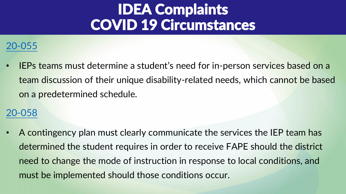#### [20-055](https://dpi.wi.gov/sped/idea-complaint-decision-20-055)

• IEPs teams must determine a student's need for in-person services based on a team discussion of their unique disability-related needs, which cannot be based on a predetermined schedule.

#### [20-058](https://dpi.wi.gov/sped/idea-complaint-decision-20-058)

• A contingency plan must clearly communicate the services the IEP team has determined the student requires in order to receive FAPE should the district need to change the mode of instruction in response to local conditions, and must be implemented should those conditions occur.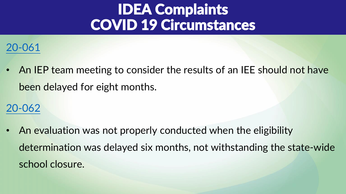

• An IEP team meeting to consider the results of an IEE should not have been delayed for eight months.

### [20-062](https://dpi.wi.gov/sped/idea-complaint-decision-20-062)

• An evaluation was not properly conducted when the eligibility determination was delayed six months, not withstanding the state-wide school closure.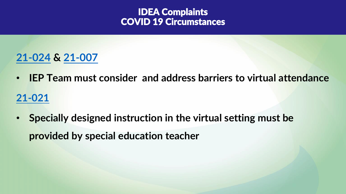### **[21-024](https://dpi.wi.gov/sped/idea-complaint-decision-21-024) & [21-007](https://dpi.wi.gov/sped/idea-complaint-decision-21-007)**

- **IEP Team must consider and address barriers to virtual attendance [21-021](https://dpi.wi.gov/sped/idea-complaint-decision-21-021)**
- **Specially designed instruction in the virtual setting must be provided by special education teacher**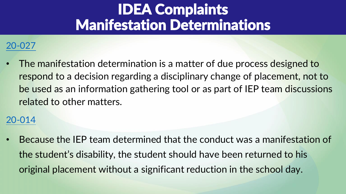### IDEA Complaints Manifestation Determinations

#### [20-027](https://dpi.wi.gov/sped/idea-complaint-decision-20-027)

• The manifestation determination is a matter of due process designed to respond to a decision regarding a disciplinary change of placement, not to be used as an information gathering tool or as part of IEP team discussions related to other matters.

#### [20-014](https://dpi.wi.gov/sped/idea-complaint-decision-20-014)

• Because the IEP team determined that the conduct was a manifestation of the student's disability, the student should have been returned to his original placement without a significant reduction in the school day.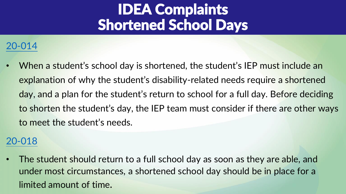### IDEA Complaints Shortened School Days

#### [20-014](https://dpi.wi.gov/sped/idea-complaint-decision-20-014)

• When a student's school day is shortened, the student's IEP must include an explanation of why the student's disability-related needs require a shortened day, and a plan for the student's return to school for a full day. Before deciding to shorten the student's day, the IEP team must consider if there are other ways to meet the student's needs.

#### [20-018](https://dpi.wi.gov/sped/idea-complaint-decision-20-018)

• The student should return to a full school day as soon as they are able, and under most circumstances, a shortened school day should be in place for a limited amount of time.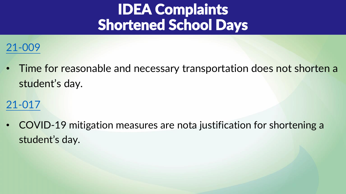### IDEA Complaints Shortened School Days

### [21-009](https://dpi.wi.gov/sped/idea-complaint-decision-21-009)

• Time for reasonable and necessary transportation does not shorten a student's day.

### [21-017](https://dpi.wi.gov/sped/idea-complaint-decision-21-017)

• COVID-19 mitigation measures are nota justification for shortening a student's day.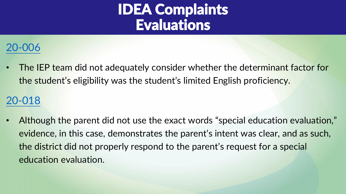### IDEA Complaints Evaluations

### [20-006](https://dpi.wi.gov/sped/idea-complaint-decision-20-006)

• The IEP team did not adequately consider whether the determinant factor for the student's eligibility was the student's limited English proficiency.

### [20-018](https://dpi.wi.gov/sped/idea-complaint-decision-20-018)

• Although the parent did not use the exact words "special education evaluation," evidence, in this case, demonstrates the parent's intent was clear, and as such, the district did not properly respond to the parent's request for a special education evaluation.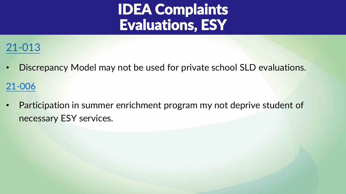### IDEA Complaints Evaluations, ESY

### [21-013](https://dpi.wi.gov/sped/idea-complaint-decision-21-013)

• Discrepancy Model may not be used for private school SLD evaluations.

[21-006](https://dpi.wi.gov/sped/idea-complaint-decision-21-006)

• Participation in summer enrichment program my not deprive student of necessary ESY services.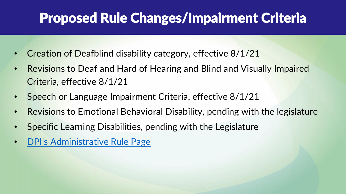### Proposed Rule Changes/Impairment Criteria

- Creation of Deafblind disability category, effective 8/1/21
- Revisions to Deaf and Hard of Hearing and Blind and Visually Impaired Criteria, effective 8/1/21
- Speech or Language Impairment Criteria, effective 8/1/21
- Revisions to Emotional Behavioral Disability, pending with the legislature
- Specific Learning Disabilities, pending with the Legislature
- [DPI's Administrative Rule Page](https://dpi.wi.gov/legislative-policy-outreach/administrative-rules)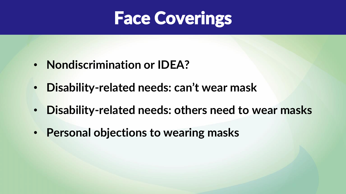## Face Coverings

- **Nondiscrimination or IDEA?**
- **Disability-related needs: can't wear mask**
- **Disability-related needs: others need to wear masks**
- **Personal objections to wearing masks**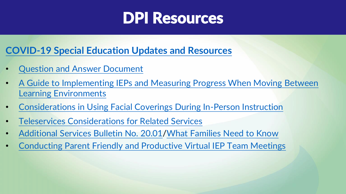### DPI Resources

#### **[COVID-19 Special Education Updates and Resources](https://dpi.wi.gov/sped/covid-19-sped-updates-and-resources)**

- [Question and Answer Document](https://dpi.wi.gov/sites/default/files/imce/sped/pdf/Extended_School_Closure_due_to_COVID.pdf)
- [A Guide to Implementing IEPs and Measuring Progress When Moving Between](https://dpi.wi.gov/sites/default/files/imce/sped/pdf/iep-guide-monitoring-progress-between-learning-environments.pdf)  Learning Environments
- [Considerations in Using Facial Coverings During In-Person Instruction](https://dpi.wi.gov/sites/default/files/imce/sped/pdf/covid-facial-coverings-considerations.pdf)
- [Teleservices Considerations for Related Services](https://dpi.wi.gov/sites/default/files/imce/sped/pdf/covid-teleservice-considerations.pdf)
- [Additional Services Bulletin No. 20.01/](https://dpi.wi.gov/sped/laws-procedures-bulletins/bulletins/20-01)[What Families Need to Know](https://dpi.wi.gov/sites/default/files/imce/sped/pdf/covid-additional-services-qa.pdf)
- [Conducting Parent Friendly and Productive Virtual IEP Team Meetings](https://dpi.wi.gov/sped/college-and-career-ready-ieps/learning-resources/virtual-iep-meetings)